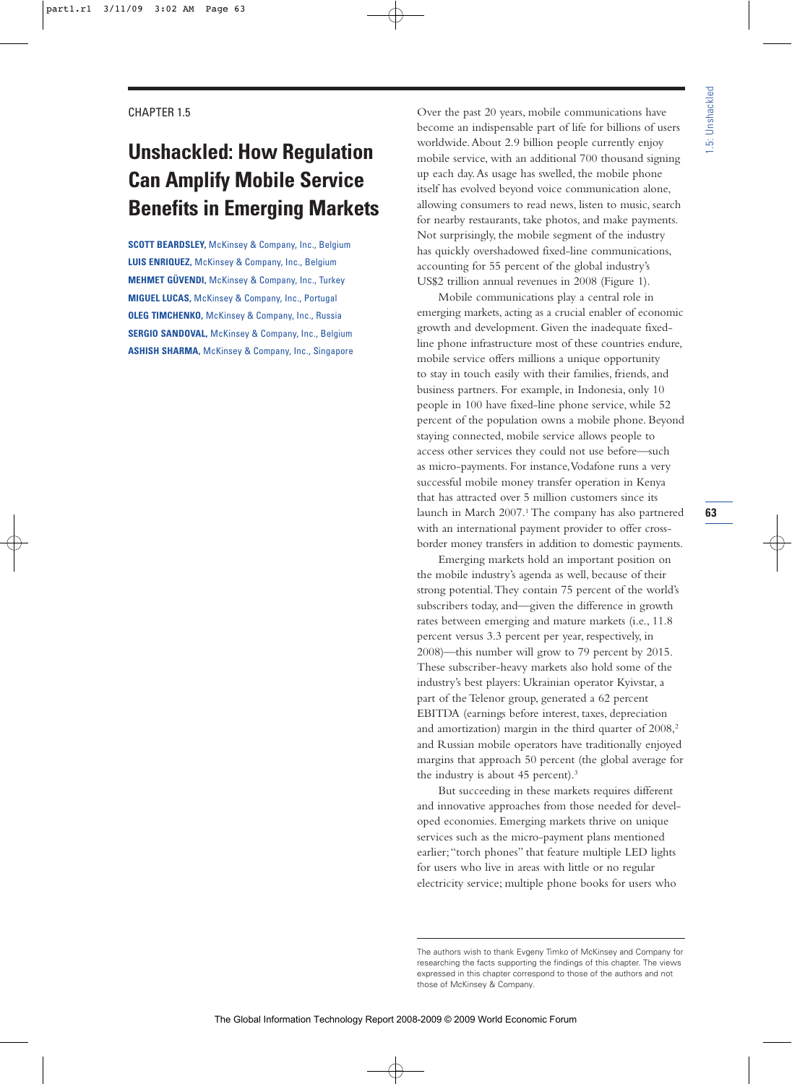# **Unshackled: How Regulation Can Amplify Mobile Service Benefits in Emerging Markets**

**SCOTT BEARDSLEY,** McKinsey & Company, Inc., Belgium **LUIS ENRIQUEZ,** McKinsey & Company, Inc., Belgium **MEHMET GÜVENDI,** McKinsey & Company, Inc., Turkey **MIGUEL LUCAS,** McKinsey & Company, Inc., Portugal **OLEG TIMCHENKO,** McKinsey & Company, Inc., Russia **SERGIO SANDOVAL,** McKinsey & Company, Inc., Belgium **ASHISH SHARMA,** McKinsey & Company, Inc., Singapore Over the past 20 years, mobile communications have become an indispensable part of life for billions of users worldwide.About 2.9 billion people currently enjoy mobile service, with an additional 700 thousand signing up each day.As usage has swelled, the mobile phone itself has evolved beyond voice communication alone, allowing consumers to read news, listen to music, search for nearby restaurants, take photos, and make payments. Not surprisingly, the mobile segment of the industry has quickly overshadowed fixed-line communications, accounting for 55 percent of the global industry's US\$2 trillion annual revenues in 2008 (Figure 1).

Mobile communications play a central role in emerging markets, acting as a crucial enabler of economic growth and development. Given the inadequate fixedline phone infrastructure most of these countries endure, mobile service offers millions a unique opportunity to stay in touch easily with their families, friends, and business partners. For example, in Indonesia, only 10 people in 100 have fixed-line phone service, while 52 percent of the population owns a mobile phone. Beyond staying connected, mobile service allows people to access other services they could not use before—such as micro-payments. For instance,Vodafone runs a very successful mobile money transfer operation in Kenya that has attracted over 5 million customers since its launch in March 2007.<sup>1</sup> The company has also partnered with an international payment provider to offer crossborder money transfers in addition to domestic payments.

Emerging markets hold an important position on the mobile industry's agenda as well, because of their strong potential.They contain 75 percent of the world's subscribers today, and—given the difference in growth rates between emerging and mature markets (i.e., 11.8 percent versus 3.3 percent per year, respectively, in 2008)—this number will grow to 79 percent by 2015. These subscriber-heavy markets also hold some of the industry's best players: Ukrainian operator Kyivstar, a part of the Telenor group, generated a 62 percent EBITDA (earnings before interest, taxes, depreciation and amortization) margin in the third quarter of  $2008$ ,<sup>2</sup> and Russian mobile operators have traditionally enjoyed margins that approach 50 percent (the global average for the industry is about 45 percent).<sup>3</sup>

But succeeding in these markets requires different and innovative approaches from those needed for developed economies. Emerging markets thrive on unique services such as the micro-payment plans mentioned earlier;"torch phones" that feature multiple LED lights for users who live in areas with little or no regular electricity service; multiple phone books for users who

The authors wish to thank Evgeny Timko of McKinsey and Company for researching the facts supporting the findings of this chapter. The views expressed in this chapter correspond to those of the authors and not those of McKinsey & Company.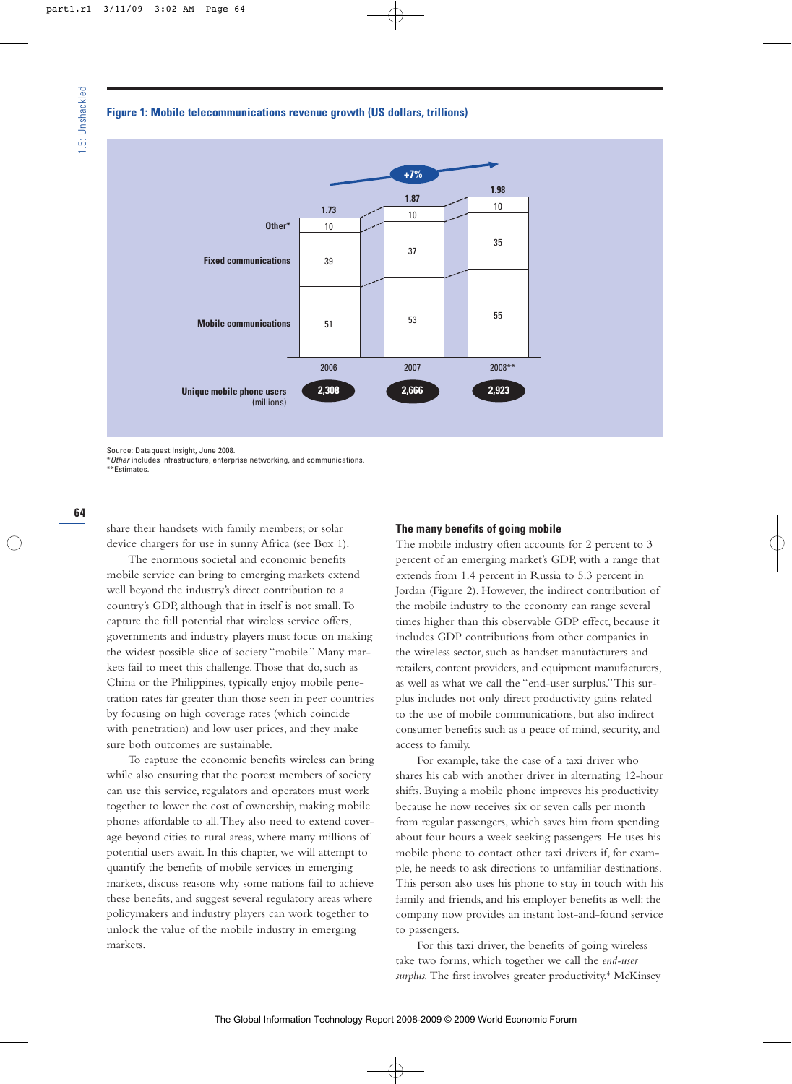#### **Figure 1: Mobile telecommunications revenue growth (US dollars, trillions)**



Source: Dataquest Insight, June 2008.

\*Other includes infrastructure, enterprise networking, and communications. \*\*Estimates.

share their handsets with family members; or solar device chargers for use in sunny Africa (see Box 1).

The enormous societal and economic benefits mobile service can bring to emerging markets extend well beyond the industry's direct contribution to a country's GDP, although that in itself is not small.To capture the full potential that wireless service offers, governments and industry players must focus on making the widest possible slice of society "mobile." Many markets fail to meet this challenge.Those that do, such as China or the Philippines, typically enjoy mobile penetration rates far greater than those seen in peer countries by focusing on high coverage rates (which coincide with penetration) and low user prices, and they make sure both outcomes are sustainable.

To capture the economic benefits wireless can bring while also ensuring that the poorest members of society can use this service, regulators and operators must work together to lower the cost of ownership, making mobile phones affordable to all.They also need to extend coverage beyond cities to rural areas, where many millions of potential users await. In this chapter, we will attempt to quantify the benefits of mobile services in emerging markets, discuss reasons why some nations fail to achieve these benefits, and suggest several regulatory areas where policymakers and industry players can work together to unlock the value of the mobile industry in emerging markets.

# **The many benefits of going mobile**

The mobile industry often accounts for 2 percent to 3 percent of an emerging market's GDP, with a range that extends from 1.4 percent in Russia to 5.3 percent in Jordan (Figure 2). However, the indirect contribution of the mobile industry to the economy can range several times higher than this observable GDP effect, because it includes GDP contributions from other companies in the wireless sector, such as handset manufacturers and retailers, content providers, and equipment manufacturers, as well as what we call the "end-user surplus."This surplus includes not only direct productivity gains related to the use of mobile communications, but also indirect consumer benefits such as a peace of mind, security, and access to family.

For example, take the case of a taxi driver who shares his cab with another driver in alternating 12-hour shifts. Buying a mobile phone improves his productivity because he now receives six or seven calls per month from regular passengers, which saves him from spending about four hours a week seeking passengers. He uses his mobile phone to contact other taxi drivers if, for example, he needs to ask directions to unfamiliar destinations. This person also uses his phone to stay in touch with his family and friends, and his employer benefits as well: the company now provides an instant lost-and-found service to passengers.

For this taxi driver, the benefits of going wireless take two forms, which together we call the *end-user*  surplus. The first involves greater productivity.<sup>4</sup> McKinsey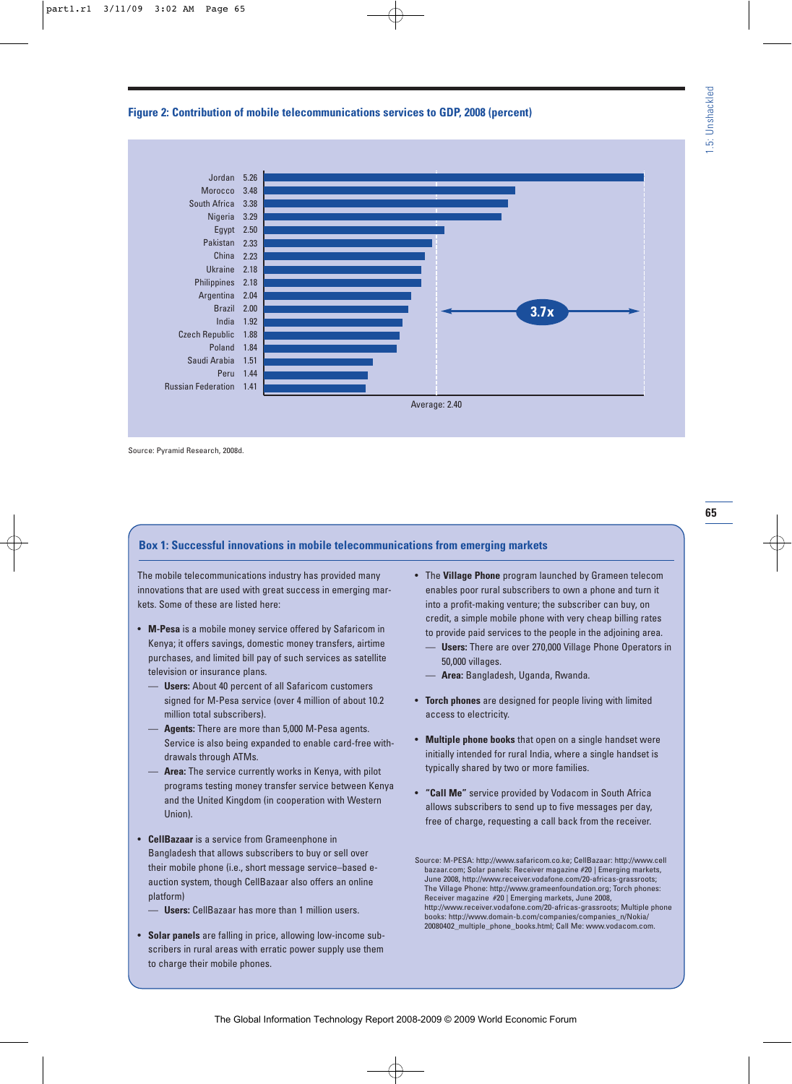# **Figure 2: Contribution of mobile telecommunications services to GDP, 2008 (percent)**



Source: Pyramid Research, 2008d.

# **Box 1: Successful innovations in mobile telecommunications from emerging markets**

The mobile telecommunications industry has provided many innovations that are used with great success in emerging markets. Some of these are listed here:

- **M-Pesa** is a mobile money service offered by Safaricom in Kenya; it offers savings, domestic money transfers, airtime purchases, and limited bill pay of such services as satellite television or insurance plans.
	- **Users:** About 40 percent of all Safaricom customers signed for M-Pesa service (over 4 million of about 10.2 million total subscribers).
	- **Agents:** There are more than 5,000 M-Pesa agents. Service is also being expanded to enable card-free withdrawals through ATMs.
	- **Area:** The service currently works in Kenya, with pilot programs testing money transfer service between Kenya and the United Kingdom (in cooperation with Western Union).
- **CellBazaar** is a service from Grameenphone in Bangladesh that allows subscribers to buy or sell over their mobile phone (i.e., short message service–based eauction system, though CellBazaar also offers an online platform)
	- **Users:** CellBazaar has more than 1 million users.
- **Solar panels** are falling in price, allowing low-income subscribers in rural areas with erratic power supply use them to charge their mobile phones.
- The **Village Phone** program launched by Grameen telecom enables poor rural subscribers to own a phone and turn it into a profit-making venture; the subscriber can buy, on credit, a simple mobile phone with very cheap billing rates to provide paid services to the people in the adjoining area.
	- **Users:** There are over 270,000 Village Phone Operators in 50,000 villages.
	- **Area:** Bangladesh, Uganda, Rwanda.
- **Torch phones** are designed for people living with limited access to electricity.
- **Multiple phone books** that open on a single handset were initially intended for rural India, where a single handset is typically shared by two or more families.
- **"Call Me"** service provided by Vodacom in South Africa allows subscribers to send up to five messages per day, free of charge, requesting a call back from the receiver.

Source: M-PESA: http://www.safaricom.co.ke; CellBazaar: http://www.cell bazaar.com; Solar panels: Receiver magazine #20 | Emerging markets, June 2008, http://www.receiver.vodafone.com/20-africas-grassroots; The Village Phone: http://www.grameenfoundation.org; Torch phones: Receiver magazine #20 | Emerging markets, June 2008, http://www.receiver.vodafone.com/20-africas-grassroots; Multiple phone books: http://www.domain-b.com/companies/companies\_n/Nokia/ 20080402\_multiple\_phone\_books.html; Call Me: www.vodacom.com.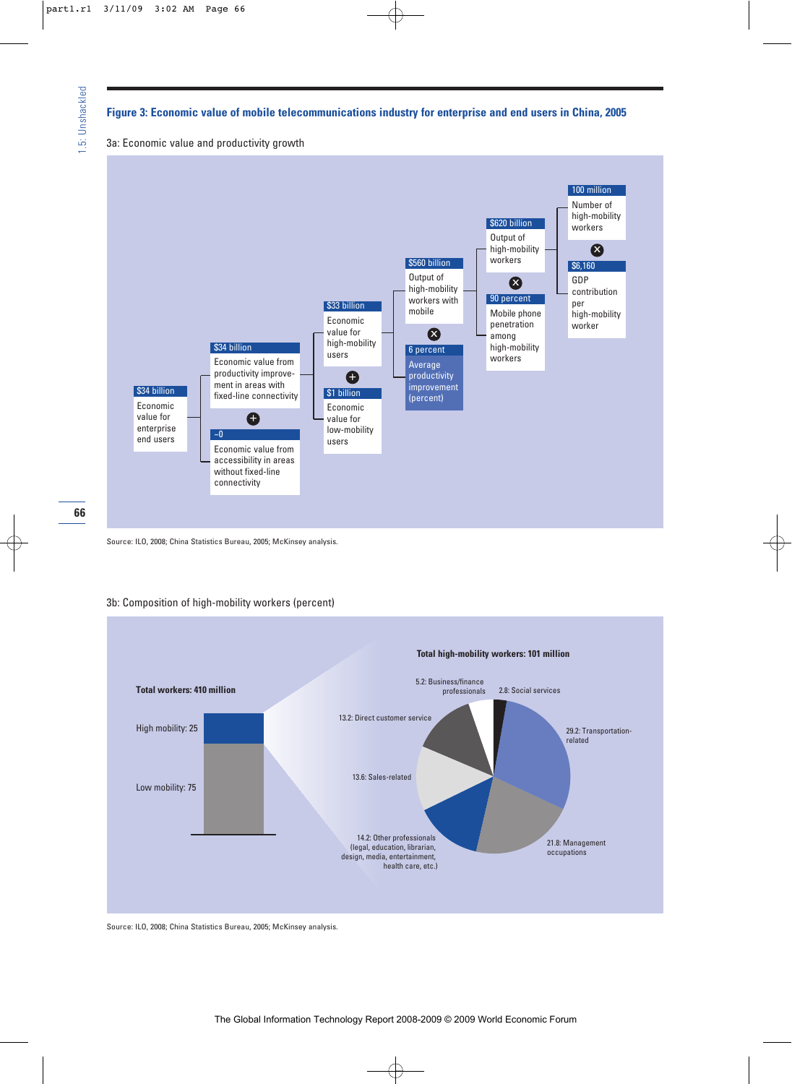#### **Figure 3: Economic value of mobile telecommunications industry for enterprise and end users in China, 2005**

3a: Economic value and productivity growth



<sup>66</sup> 

#### 3b: Composition of high-mobility workers (percent)



Source: ILO, 2008; China Statistics Bureau, 2005; McKinsey analysis.

Source: ILO, 2008; China Statistics Bureau, 2005; McKinsey analysis.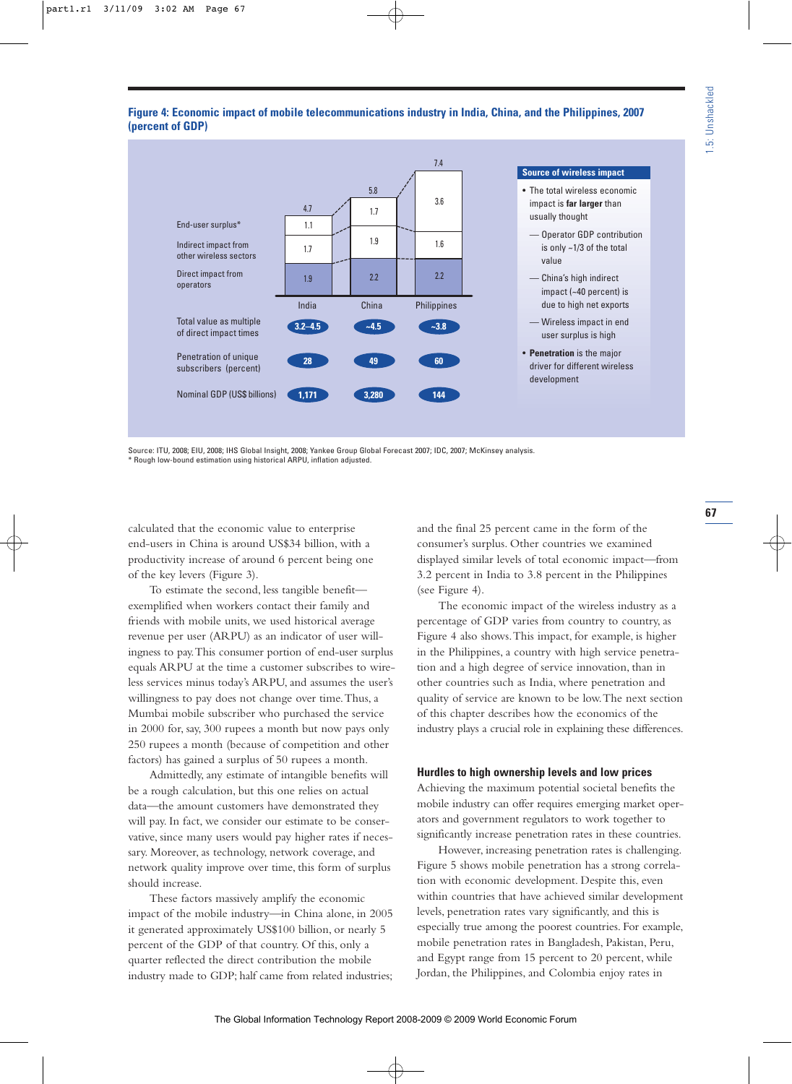# **Figure 4: Economic impact of mobile telecommunications industry in India, China, and the Philippines, 2007 (percent of GDP)**



Source: ITU, 2008; EIU, 2008; IHS Global Insight, 2008; Yankee Group Global Forecast 2007; IDC, 2007; McKinsey analysis. \* Rough low-bound estimation using historical ARPU, inflation adjusted.

calculated that the economic value to enterprise end-users in China is around US\$34 billion, with a productivity increase of around 6 percent being one of the key levers (Figure 3).

To estimate the second, less tangible benefit exemplified when workers contact their family and friends with mobile units, we used historical average revenue per user (ARPU) as an indicator of user willingness to pay.This consumer portion of end-user surplus equals ARPU at the time a customer subscribes to wireless services minus today's ARPU, and assumes the user's willingness to pay does not change over time.Thus, a Mumbai mobile subscriber who purchased the service in 2000 for, say, 300 rupees a month but now pays only 250 rupees a month (because of competition and other factors) has gained a surplus of 50 rupees a month.

Admittedly, any estimate of intangible benefits will be a rough calculation, but this one relies on actual data—the amount customers have demonstrated they will pay. In fact, we consider our estimate to be conservative, since many users would pay higher rates if necessary. Moreover, as technology, network coverage, and network quality improve over time, this form of surplus should increase.

These factors massively amplify the economic impact of the mobile industry—in China alone, in 2005 it generated approximately US\$100 billion, or nearly 5 percent of the GDP of that country. Of this, only a quarter reflected the direct contribution the mobile industry made to GDP; half came from related industries; and the final 25 percent came in the form of the consumer's surplus. Other countries we examined displayed similar levels of total economic impact—from 3.2 percent in India to 3.8 percent in the Philippines (see Figure 4).

The economic impact of the wireless industry as a percentage of GDP varies from country to country, as Figure 4 also shows.This impact, for example, is higher in the Philippines, a country with high service penetration and a high degree of service innovation, than in other countries such as India, where penetration and quality of service are known to be low.The next section of this chapter describes how the economics of the industry plays a crucial role in explaining these differences.

# **Hurdles to high ownership levels and low prices**

Achieving the maximum potential societal benefits the mobile industry can offer requires emerging market operators and government regulators to work together to significantly increase penetration rates in these countries.

However, increasing penetration rates is challenging. Figure 5 shows mobile penetration has a strong correlation with economic development. Despite this, even within countries that have achieved similar development levels, penetration rates vary significantly, and this is especially true among the poorest countries. For example, mobile penetration rates in Bangladesh, Pakistan, Peru, and Egypt range from 15 percent to 20 percent, while Jordan, the Philippines, and Colombia enjoy rates in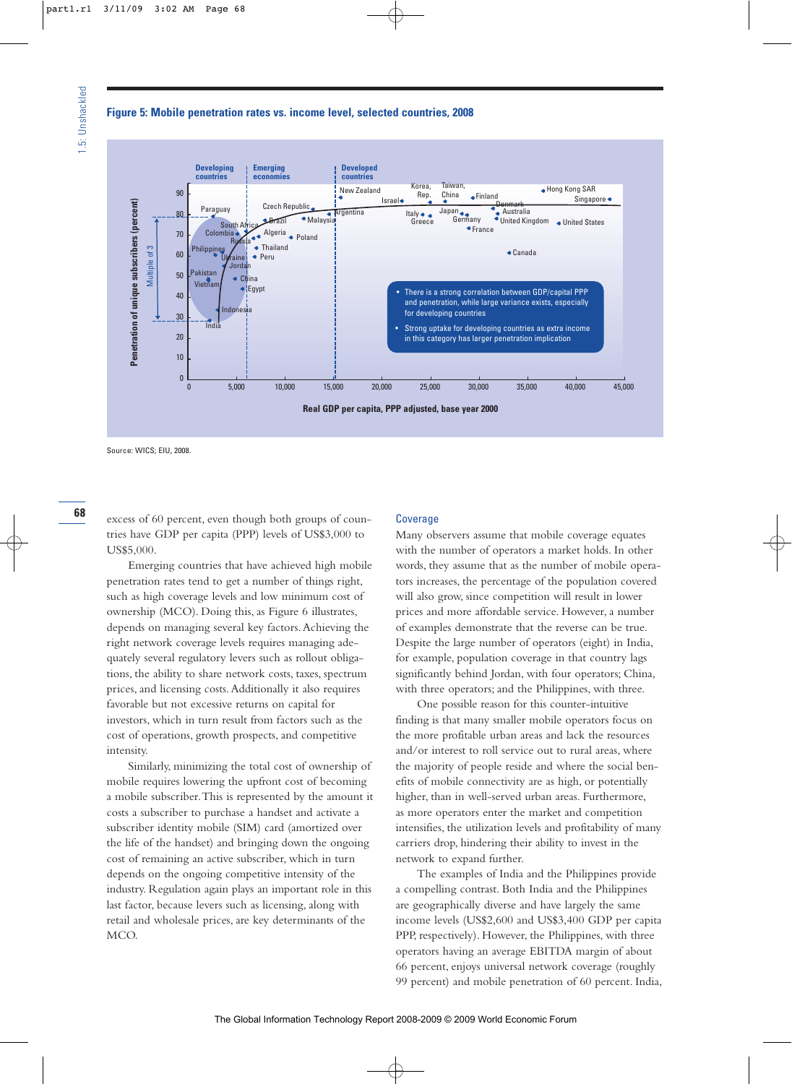# **Figure 5: Mobile penetration rates vs. income level, selected countries, 2008**



Source: WICS; EIU, 2008.

68

excess of 60 percent, even though both groups of countries have GDP per capita (PPP) levels of US\$3,000 to US\$5,000.

Emerging countries that have achieved high mobile penetration rates tend to get a number of things right, such as high coverage levels and low minimum cost of ownership (MCO). Doing this, as Figure 6 illustrates, depends on managing several key factors.Achieving the right network coverage levels requires managing adequately several regulatory levers such as rollout obligations, the ability to share network costs, taxes, spectrum prices, and licensing costs.Additionally it also requires favorable but not excessive returns on capital for investors, which in turn result from factors such as the cost of operations, growth prospects, and competitive intensity.

Similarly, minimizing the total cost of ownership of mobile requires lowering the upfront cost of becoming a mobile subscriber.This is represented by the amount it costs a subscriber to purchase a handset and activate a subscriber identity mobile (SIM) card (amortized over the life of the handset) and bringing down the ongoing cost of remaining an active subscriber, which in turn depends on the ongoing competitive intensity of the industry. Regulation again plays an important role in this last factor, because levers such as licensing, along with retail and wholesale prices, are key determinants of the MCO.

#### **Coverage**

Many observers assume that mobile coverage equates with the number of operators a market holds. In other words, they assume that as the number of mobile operators increases, the percentage of the population covered will also grow, since competition will result in lower prices and more affordable service. However, a number of examples demonstrate that the reverse can be true. Despite the large number of operators (eight) in India, for example, population coverage in that country lags significantly behind Jordan, with four operators; China, with three operators; and the Philippines, with three.

One possible reason for this counter-intuitive finding is that many smaller mobile operators focus on the more profitable urban areas and lack the resources and/or interest to roll service out to rural areas, where the majority of people reside and where the social benefits of mobile connectivity are as high, or potentially higher, than in well-served urban areas. Furthermore, as more operators enter the market and competition intensifies, the utilization levels and profitability of many carriers drop, hindering their ability to invest in the network to expand further.

The examples of India and the Philippines provide a compelling contrast. Both India and the Philippines are geographically diverse and have largely the same income levels (US\$2,600 and US\$3,400 GDP per capita PPP, respectively). However, the Philippines, with three operators having an average EBITDA margin of about 66 percent, enjoys universal network coverage (roughly 99 percent) and mobile penetration of 60 percent. India,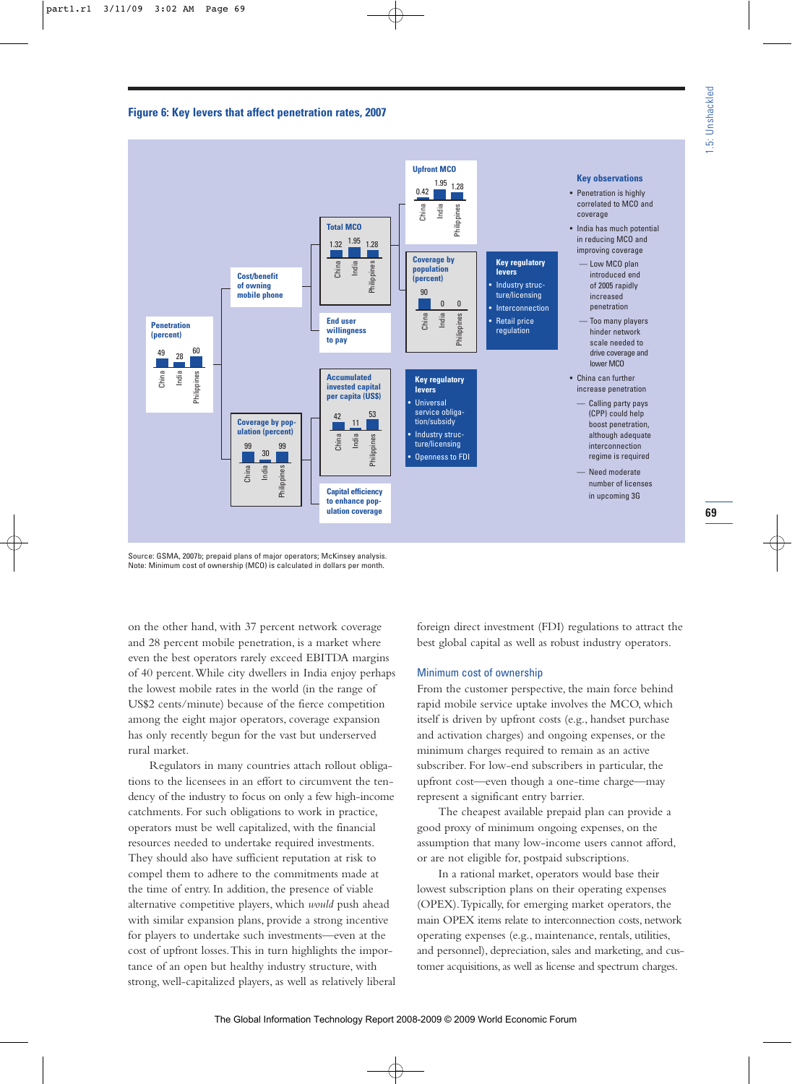



Source: GSMA, 2007b; prepaid plans of major operators; McKinsey analysis. Note: Minimum cost of ownership (MCO) is calculated in dollars per month.

on the other hand, with 37 percent network coverage and 28 percent mobile penetration, is a market where even the best operators rarely exceed EBITDA margins of 40 percent.While city dwellers in India enjoy perhaps the lowest mobile rates in the world (in the range of US\$2 cents/minute) because of the fierce competition among the eight major operators, coverage expansion has only recently begun for the vast but underserved rural market.

Regulators in many countries attach rollout obligations to the licensees in an effort to circumvent the tendency of the industry to focus on only a few high-income catchments. For such obligations to work in practice, operators must be well capitalized, with the financial resources needed to undertake required investments. They should also have sufficient reputation at risk to compel them to adhere to the commitments made at the time of entry. In addition, the presence of viable alternative competitive players, which *would* push ahead with similar expansion plans, provide a strong incentive for players to undertake such investments—even at the cost of upfront losses.This in turn highlights the importance of an open but healthy industry structure, with strong, well-capitalized players, as well as relatively liberal foreign direct investment (FDI) regulations to attract the best global capital as well as robust industry operators.

# Minimum cost of ownership

From the customer perspective, the main force behind rapid mobile service uptake involves the MCO, which itself is driven by upfront costs (e.g., handset purchase and activation charges) and ongoing expenses, or the minimum charges required to remain as an active subscriber. For low-end subscribers in particular, the upfront cost—even though a one-time charge—may represent a significant entry barrier.

The cheapest available prepaid plan can provide a good proxy of minimum ongoing expenses, on the assumption that many low-income users cannot afford, or are not eligible for, postpaid subscriptions.

In a rational market, operators would base their lowest subscription plans on their operating expenses (OPEX).Typically, for emerging market operators, the main OPEX items relate to interconnection costs, network operating expenses (e.g., maintenance, rentals, utilities, and personnel), depreciation, sales and marketing, and customer acquisitions, as well as license and spectrum charges.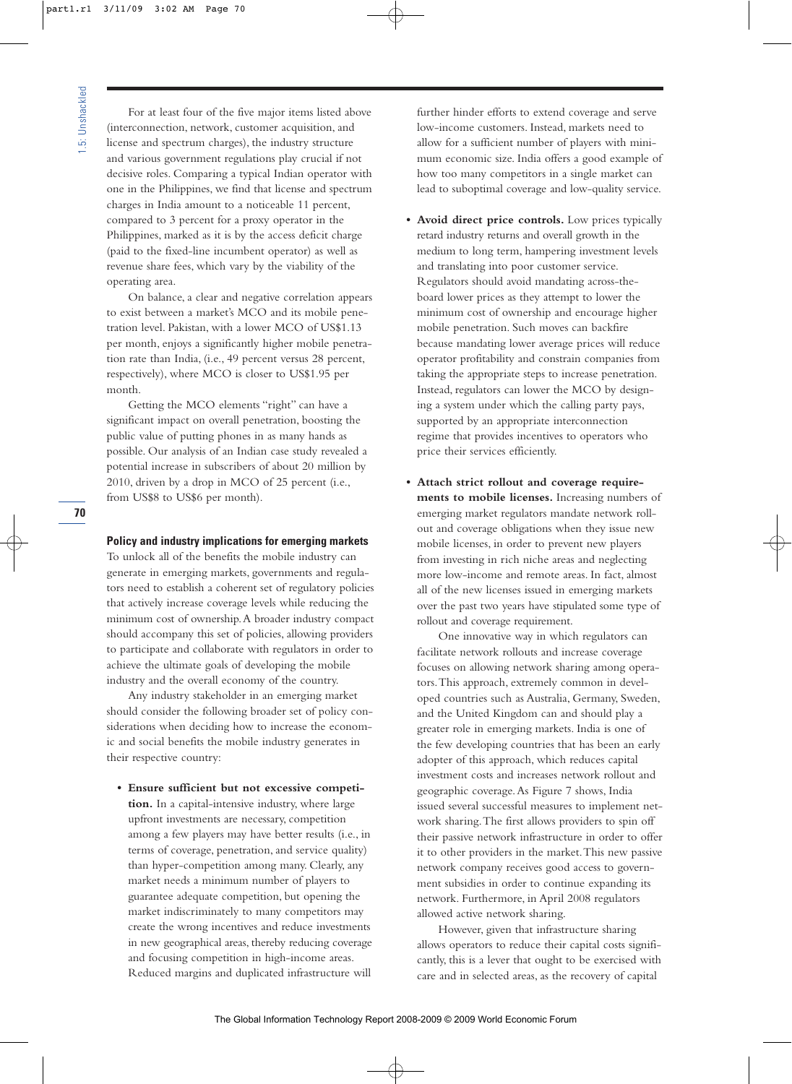For at least four of the five major items listed above (interconnection, network, customer acquisition, and license and spectrum charges), the industry structure and various government regulations play crucial if not decisive roles. Comparing a typical Indian operator with one in the Philippines, we find that license and spectrum charges in India amount to a noticeable 11 percent, compared to 3 percent for a proxy operator in the Philippines, marked as it is by the access deficit charge (paid to the fixed-line incumbent operator) as well as revenue share fees, which vary by the viability of the operating area.

On balance, a clear and negative correlation appears to exist between a market's MCO and its mobile penetration level. Pakistan, with a lower MCO of US\$1.13 per month, enjoys a significantly higher mobile penetration rate than India, (i.e., 49 percent versus 28 percent, respectively), where MCO is closer to US\$1.95 per month.

Getting the MCO elements "right" can have a significant impact on overall penetration, boosting the public value of putting phones in as many hands as possible. Our analysis of an Indian case study revealed a potential increase in subscribers of about 20 million by 2010, driven by a drop in MCO of 25 percent (i.e., from US\$8 to US\$6 per month).

**Policy and industry implications for emerging markets**

To unlock all of the benefits the mobile industry can generate in emerging markets, governments and regulators need to establish a coherent set of regulatory policies that actively increase coverage levels while reducing the minimum cost of ownership.A broader industry compact should accompany this set of policies, allowing providers to participate and collaborate with regulators in order to achieve the ultimate goals of developing the mobile industry and the overall economy of the country.

Any industry stakeholder in an emerging market should consider the following broader set of policy considerations when deciding how to increase the economic and social benefits the mobile industry generates in their respective country:

**• Ensure sufficient but not excessive competition.** In a capital-intensive industry, where large upfront investments are necessary, competition among a few players may have better results (i.e., in terms of coverage, penetration, and service quality) than hyper-competition among many. Clearly, any market needs a minimum number of players to guarantee adequate competition, but opening the market indiscriminately to many competitors may create the wrong incentives and reduce investments in new geographical areas, thereby reducing coverage and focusing competition in high-income areas. Reduced margins and duplicated infrastructure will

further hinder efforts to extend coverage and serve low-income customers. Instead, markets need to allow for a sufficient number of players with minimum economic size. India offers a good example of how too many competitors in a single market can lead to suboptimal coverage and low-quality service.

- **Avoid direct price controls.** Low prices typically retard industry returns and overall growth in the medium to long term, hampering investment levels and translating into poor customer service. Regulators should avoid mandating across-theboard lower prices as they attempt to lower the minimum cost of ownership and encourage higher mobile penetration. Such moves can backfire because mandating lower average prices will reduce operator profitability and constrain companies from taking the appropriate steps to increase penetration. Instead, regulators can lower the MCO by designing a system under which the calling party pays, supported by an appropriate interconnection regime that provides incentives to operators who price their services efficiently.
- **Attach strict rollout and coverage requirements to mobile licenses.** Increasing numbers of emerging market regulators mandate network rollout and coverage obligations when they issue new mobile licenses, in order to prevent new players from investing in rich niche areas and neglecting more low-income and remote areas. In fact, almost all of the new licenses issued in emerging markets over the past two years have stipulated some type of rollout and coverage requirement.

One innovative way in which regulators can facilitate network rollouts and increase coverage focuses on allowing network sharing among operators.This approach, extremely common in developed countries such as Australia, Germany, Sweden, and the United Kingdom can and should play a greater role in emerging markets. India is one of the few developing countries that has been an early adopter of this approach, which reduces capital investment costs and increases network rollout and geographic coverage.As Figure 7 shows, India issued several successful measures to implement network sharing.The first allows providers to spin off their passive network infrastructure in order to offer it to other providers in the market.This new passive network company receives good access to government subsidies in order to continue expanding its network. Furthermore, in April 2008 regulators allowed active network sharing.

However, given that infrastructure sharing allows operators to reduce their capital costs significantly, this is a lever that ought to be exercised with care and in selected areas, as the recovery of capital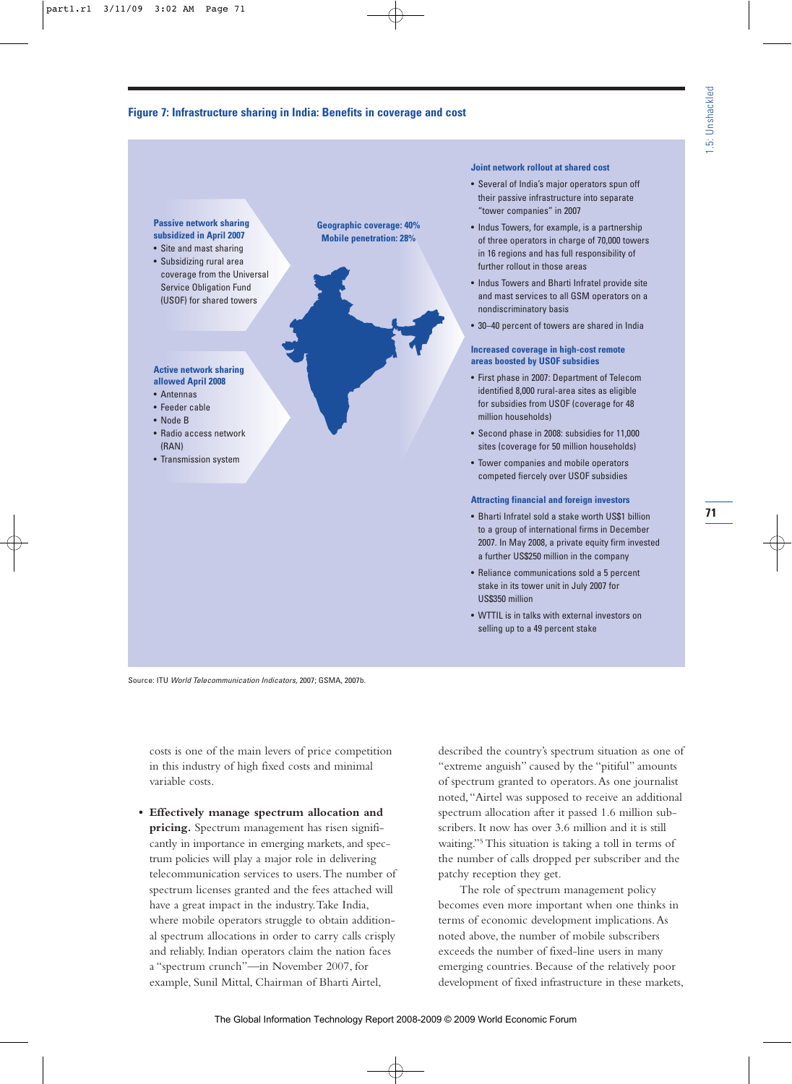# **Figure 7: Infrastructure sharing in India: Benefits in coverage and cost**



#### **Joint network rollout at shared cost**

- Several of India's major operators spun off their passive infrastructure into separate "tower companies" in 2007
- Indus Towers, for example, is a partnership of three operators in charge of 70,000 towers in 16 regions and has full responsibility of further rollout in those areas
- Indus Towers and Bharti Infratel provide site and mast services to all GSM operators on a nondiscriminatory basis
- 30–40 percent of towers are shared in India

#### **Increased coverage in high-cost remote areas boosted by USOF subsidies**

- First phase in 2007: Department of Telecom identified 8,000 rural-area sites as eligible for subsidies from USOF (coverage for 48 million households)
- Second phase in 2008: subsidies for 11,000 sites (coverage for 50 million households)
- Tower companies and mobile operators competed fiercely over USOF subsidies

#### **Attracting financial and foreign investors**

- Bharti Infratel sold a stake worth US\$1 billion to a group of international firms in December 2007. In May 2008, a private equity firm invested a further US\$250 million in the company
- Reliance communications sold a 5 percent stake in its tower unit in July 2007 for US\$350 million
- WTTIL is in talks with external investors on selling up to a 49 percent stake

Source: ITU World Telecommunication Indicators, 2007; GSMA, 2007b.

costs is one of the main levers of price competition in this industry of high fixed costs and minimal variable costs.

**• Effectively manage spectrum allocation and pricing.** Spectrum management has risen significantly in importance in emerging markets, and spectrum policies will play a major role in delivering telecommunication services to users.The number of spectrum licenses granted and the fees attached will have a great impact in the industry.Take India, where mobile operators struggle to obtain additional spectrum allocations in order to carry calls crisply and reliably. Indian operators claim the nation faces a "spectrum crunch"—in November 2007, for example, Sunil Mittal, Chairman of Bharti Airtel,

described the country's spectrum situation as one of "extreme anguish" caused by the "pitiful" amounts of spectrum granted to operators.As one journalist noted,"Airtel was supposed to receive an additional spectrum allocation after it passed 1.6 million subscribers. It now has over 3.6 million and it is still waiting."5 This situation is taking a toll in terms of the number of calls dropped per subscriber and the patchy reception they get.

The role of spectrum management policy becomes even more important when one thinks in terms of economic development implications.As noted above, the number of mobile subscribers exceeds the number of fixed-line users in many emerging countries. Because of the relatively poor development of fixed infrastructure in these markets,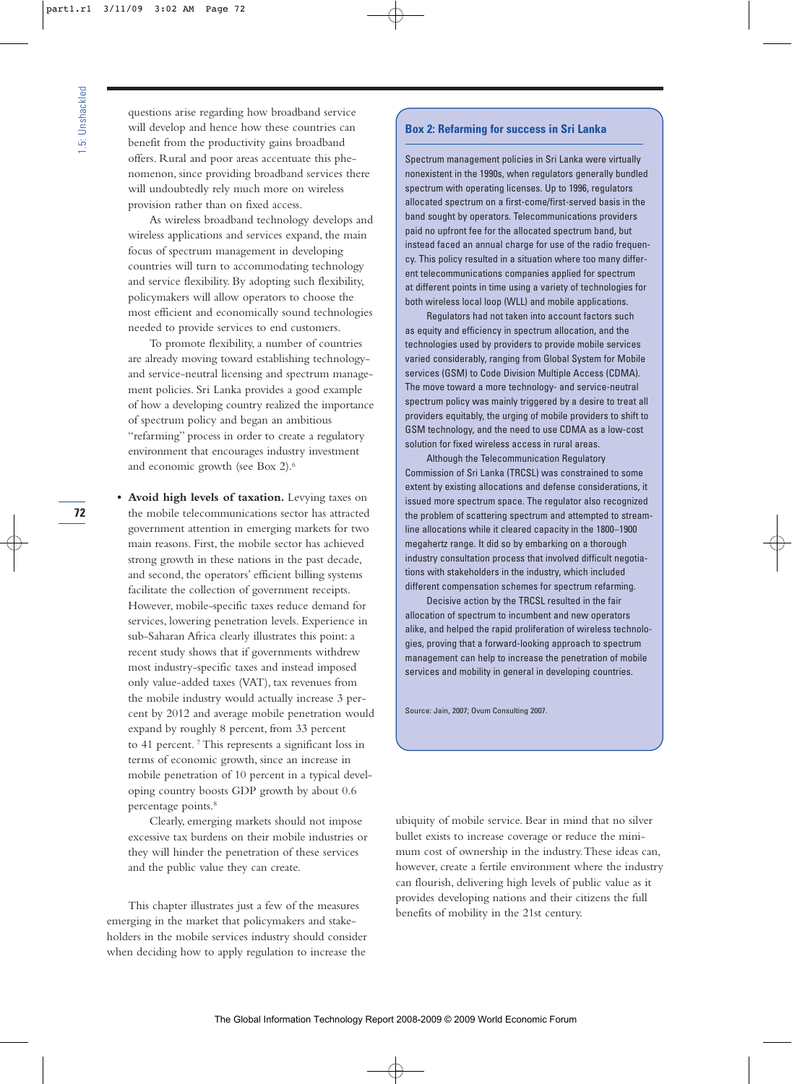questions arise regarding how broadband service will develop and hence how these countries can benefit from the productivity gains broadband offers. Rural and poor areas accentuate this phenomenon, since providing broadband services there will undoubtedly rely much more on wireless provision rather than on fixed access.

As wireless broadband technology develops and wireless applications and services expand, the main focus of spectrum management in developing countries will turn to accommodating technology and service flexibility. By adopting such flexibility, policymakers will allow operators to choose the most efficient and economically sound technologies needed to provide services to end customers.

To promote flexibility, a number of countries are already moving toward establishing technologyand service-neutral licensing and spectrum management policies. Sri Lanka provides a good example of how a developing country realized the importance of spectrum policy and began an ambitious "refarming" process in order to create a regulatory environment that encourages industry investment and economic growth (see Box 2).6

**• Avoid high levels of taxation.** Levying taxes on the mobile telecommunications sector has attracted government attention in emerging markets for two main reasons. First, the mobile sector has achieved strong growth in these nations in the past decade, and second, the operators' efficient billing systems facilitate the collection of government receipts. However, mobile-specific taxes reduce demand for services, lowering penetration levels. Experience in sub-Saharan Africa clearly illustrates this point: a recent study shows that if governments withdrew most industry-specific taxes and instead imposed only value-added taxes (VAT), tax revenues from the mobile industry would actually increase 3 percent by 2012 and average mobile penetration would expand by roughly 8 percent, from 33 percent to 41 percent. <sup>7</sup> This represents a significant loss in terms of economic growth, since an increase in mobile penetration of 10 percent in a typical developing country boosts GDP growth by about 0.6 percentage points.<sup>8</sup>

Clearly, emerging markets should not impose excessive tax burdens on their mobile industries or they will hinder the penetration of these services and the public value they can create.

This chapter illustrates just a few of the measures emerging in the market that policymakers and stakeholders in the mobile services industry should consider when deciding how to apply regulation to increase the

# **Box 2: Refarming for success in Sri Lanka**

Spectrum management policies in Sri Lanka were virtually nonexistent in the 1990s, when regulators generally bundled spectrum with operating licenses. Up to 1996, regulators allocated spectrum on a first-come/first-served basis in the band sought by operators. Telecommunications providers paid no upfront fee for the allocated spectrum band, but instead faced an annual charge for use of the radio frequency. This policy resulted in a situation where too many different telecommunications companies applied for spectrum at different points in time using a variety of technologies for both wireless local loop (WLL) and mobile applications.

Regulators had not taken into account factors such as equity and efficiency in spectrum allocation, and the technologies used by providers to provide mobile services varied considerably, ranging from Global System for Mobile services (GSM) to Code Division Multiple Access (CDMA). The move toward a more technology- and service-neutral spectrum policy was mainly triggered by a desire to treat all providers equitably, the urging of mobile providers to shift to GSM technology, and the need to use CDMA as a low-cost solution for fixed wireless access in rural areas.

Although the Telecommunication Regulatory Commission of Sri Lanka (TRCSL) was constrained to some extent by existing allocations and defense considerations, it issued more spectrum space. The regulator also recognized the problem of scattering spectrum and attempted to streamline allocations while it cleared capacity in the 1800–1900 megahertz range. It did so by embarking on a thorough industry consultation process that involved difficult negotiations with stakeholders in the industry, which included different compensation schemes for spectrum refarming.

Decisive action by the TRCSL resulted in the fair allocation of spectrum to incumbent and new operators alike, and helped the rapid proliferation of wireless technologies, proving that a forward-looking approach to spectrum management can help to increase the penetration of mobile services and mobility in general in developing countries.

Source: Jain, 2007; Ovum Consulting 2007.

ubiquity of mobile service. Bear in mind that no silver bullet exists to increase coverage or reduce the minimum cost of ownership in the industry.These ideas can, however, create a fertile environment where the industry can flourish, delivering high levels of public value as it provides developing nations and their citizens the full benefits of mobility in the 21st century.